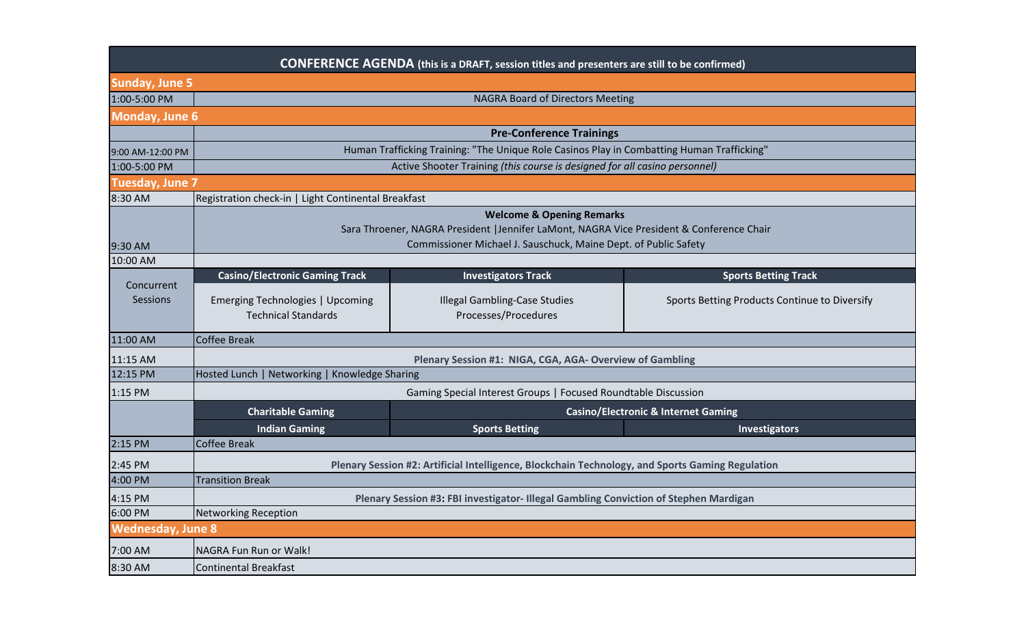| <b>CONFERENCE AGENDA</b> (this is a DRAFT, session titles and presenters are still to be confirmed) |                                                                                                                                                                                                      |                                                              |                                               |  |
|-----------------------------------------------------------------------------------------------------|------------------------------------------------------------------------------------------------------------------------------------------------------------------------------------------------------|--------------------------------------------------------------|-----------------------------------------------|--|
| <b>Sunday, June 5</b>                                                                               |                                                                                                                                                                                                      |                                                              |                                               |  |
| 1:00-5:00 PM                                                                                        |                                                                                                                                                                                                      | <b>NAGRA Board of Directors Meeting</b>                      |                                               |  |
| <b>Monday, June 6</b>                                                                               |                                                                                                                                                                                                      |                                                              |                                               |  |
|                                                                                                     | <b>Pre-Conference Trainings</b>                                                                                                                                                                      |                                                              |                                               |  |
| 9:00 AM-12:00 PM                                                                                    | Human Trafficking Training: "The Unique Role Casinos Play in Combatting Human Trafficking"                                                                                                           |                                                              |                                               |  |
| 1:00-5:00 PM                                                                                        | Active Shooter Training (this course is designed for all casino personnel)                                                                                                                           |                                                              |                                               |  |
| <b>Tuesday, June 7</b>                                                                              |                                                                                                                                                                                                      |                                                              |                                               |  |
| 8:30 AM                                                                                             | Registration check-in   Light Continental Breakfast                                                                                                                                                  |                                                              |                                               |  |
| 9:30 AM                                                                                             | <b>Welcome &amp; Opening Remarks</b><br>Sara Throener, NAGRA President   Jennifer LaMont, NAGRA Vice President & Conference Chair<br>Commissioner Michael J. Sauschuck, Maine Dept. of Public Safety |                                                              |                                               |  |
| 10:00 AM                                                                                            | <b>Casino/Electronic Gaming Track</b>                                                                                                                                                                | <b>Investigators Track</b>                                   | <b>Sports Betting Track</b>                   |  |
| Concurrent<br>Sessions                                                                              | Emerging Technologies   Upcoming<br><b>Technical Standards</b>                                                                                                                                       | <b>Illegal Gambling-Case Studies</b><br>Processes/Procedures | Sports Betting Products Continue to Diversify |  |
| 11:00 AM                                                                                            | <b>Coffee Break</b>                                                                                                                                                                                  |                                                              |                                               |  |
| 11:15 AM                                                                                            | Plenary Session #1: NIGA, CGA, AGA- Overview of Gambling                                                                                                                                             |                                                              |                                               |  |
| 12:15 PM                                                                                            | Hosted Lunch   Networking   Knowledge Sharing                                                                                                                                                        |                                                              |                                               |  |
| 1:15 PM                                                                                             | Gaming Special Interest Groups   Focused Roundtable Discussion                                                                                                                                       |                                                              |                                               |  |
|                                                                                                     | <b>Charitable Gaming</b><br><b>Casino/Electronic &amp; Internet Gaming</b>                                                                                                                           |                                                              |                                               |  |
|                                                                                                     | <b>Indian Gaming</b>                                                                                                                                                                                 | <b>Sports Betting</b>                                        | Investigators                                 |  |
| 2:15 PM                                                                                             | <b>Coffee Break</b>                                                                                                                                                                                  |                                                              |                                               |  |
| 2:45 PM                                                                                             | Plenary Session #2: Artificial Intelligence, Blockchain Technology, and Sports Gaming Regulation                                                                                                     |                                                              |                                               |  |
| 4:00 PM                                                                                             | <b>Transition Break</b>                                                                                                                                                                              |                                                              |                                               |  |
| 4:15 PM                                                                                             | Plenary Session #3: FBI investigator- Illegal Gambling Conviction of Stephen Mardigan                                                                                                                |                                                              |                                               |  |
| 6:00 PM                                                                                             | <b>Networking Reception</b>                                                                                                                                                                          |                                                              |                                               |  |
| <b>Wednesday, June 8</b>                                                                            |                                                                                                                                                                                                      |                                                              |                                               |  |
| 7:00 AM                                                                                             | NAGRA Fun Run or Walk!                                                                                                                                                                               |                                                              |                                               |  |
| 8:30 AM                                                                                             | <b>Continental Breakfast</b>                                                                                                                                                                         |                                                              |                                               |  |